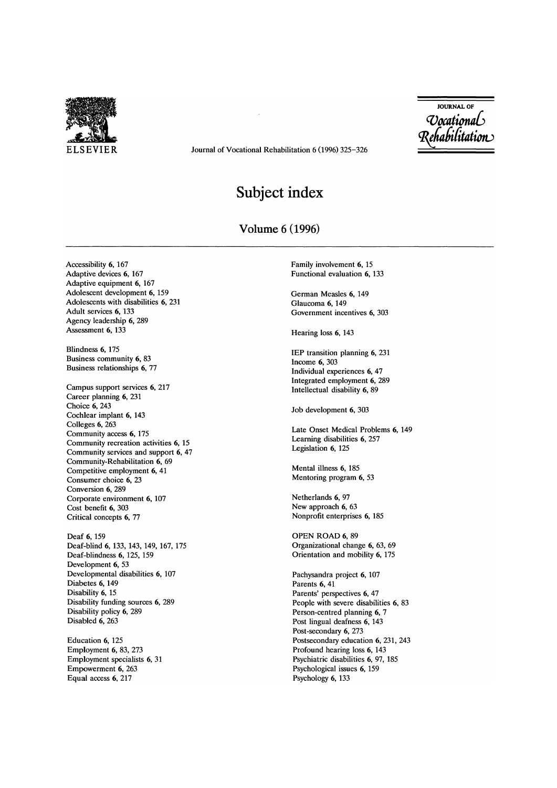

ELSEVIER Journal of Vocational Rehabilitation 6 (1996) 325-326

JOURNAL OF *Occational* Rehabilitation

## **Subject index**

## Volume 6 (1996)

Accessibility 6, 167 Adaptive devices 6, 167 Adaptive equipment 6, 167 Adolescent development 6, 159 Adolescents with disabilities 6, 231 Adult services 6, 133 Agency leadership 6, 289 Assessment 6, 133

Blindness 6, 175 Business community 6, 83 Business relationships 6, 77

Campus support services 6, 217 Career planning 6, 231 Choice 6, 243 Cochlear implant 6, 143 Colleges 6, 263 Community access 6, 175 Community recreation activities 6, 15 Community services and support 6, 47 Community-Rehabilitation 6, 69 Competitive employment 6, 41 Consumer choice 6, 23 Conversion 6, 289 Corporate environment 6, 107 Cost benefit 6, 303 Critical concepts 6, 77

Deaf 6,159 Deaf-blind 6,133,143,149,167,175 Deaf-blindness 6, 125, 159 Development 6, 53 Developmental disabilities 6, 107 Diabetes 6, 149 Disability 6, 15 Disability funding sources 6, 289 Disability policy 6, 289 Disabled 6, 263

Education 6, 125 Employment 6, 83, 273 Employment specialists 6, 31 Empowerment 6, 263 Equal access 6, 217

Family involvement 6, 15 Functional evaluation 6, 133

German Measles 6, 149 Glaucoma 6, 149 Government incentives 6, 303

Hearing loss 6, 143

IEP transition planning 6, 231 Income 6, 303 Individual experiences 6, 47 Integrated employment 6, 289 Intellectual disability 6, 89

Job development 6, 303

Late Onset Medical Problems 6, 149 Learning disabilities 6, 257 Legislation 6, 125

Mental illness 6, 185 Mentoring program 6, 53

Netherlands 6, 97 New approach 6, 63 Nonprofit enterprises 6, 185

OPEN ROAD 6, 89 Organizational change 6, 63, 69 Orientation and mobility 6, 175

Pachysandra project 6, 107 Parents 6, 41 Parents' perspectives 6, 47 People with severe disabilities 6, 83 Person-centred planning 6, 7 Post lingual deafness 6, 143 Post-secondary 6, 273 Postsecondary education 6, 231, 243 Profound hearing loss 6, 143 Psychiatric disabilities 6, 97, 185 Psychological issues 6, 159 Psychology 6, 133